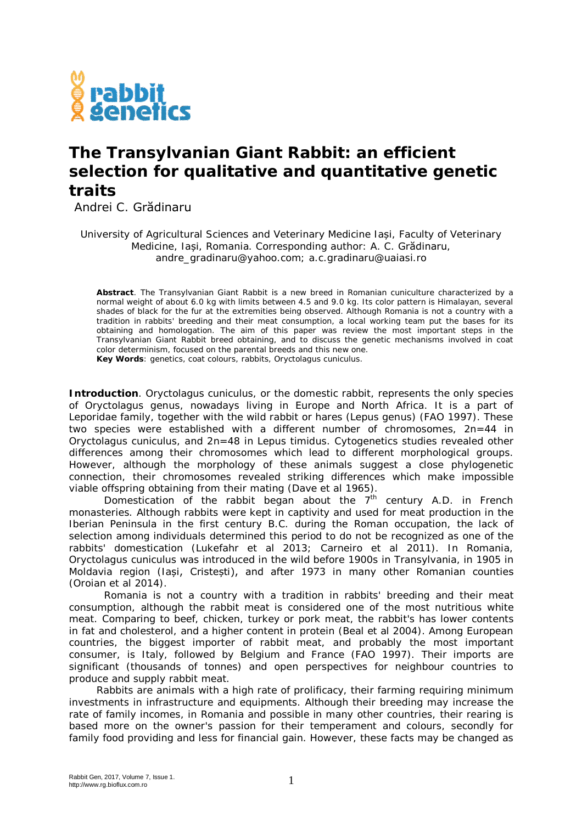

## **The Transylvanian Giant Rabbit: an efficient selection for qualitative and quantitative genetic traits**

Andrei C. Grădinaru

University of Agricultural Sciences and Veterinary Medicine Iași, Faculty of Veterinary Medicine, Iași, Romania. Corresponding author: A. C. Grădinaru, andre\_gradinaru@yahoo.com; a.c.gradinaru@uaiasi.ro

**Abstract**. The Transylvanian Giant Rabbit is a new breed in Romanian cuniculture characterized by a normal weight of about 6.0 kg with limits between 4.5 and 9.0 kg. Its color pattern is Himalayan, several shades of black for the fur at the extremities being observed. Although Romania is not a country with a tradition in rabbits' breeding and their meat consumption, a local working team put the bases for its obtaining and homologation. The aim of this paper was review the most important steps in the Transylvanian Giant Rabbit breed obtaining, and to discuss the genetic mechanisms involved in coat color determinism, focused on the parental breeds and this new one. **Key Words**: genetics, coat colours, rabbits, *Oryctolagus cuniculus*.

**Introduction**. *Oryctolagus cuniculus*, or the domestic rabbit, represents the only species of *Oryctolagus* genus, nowadays living in Europe and North Africa. It is a part of *Leporidae* family, together with the wild rabbit or hares (*Lepus* genus) (FAO 1997). These two species were established with a different number of chromosomes, 2n=44 in *Oryctolagus cuniculus,* and 2n=48 in *Lepus timidus*. Cytogenetics studies revealed other differences among their chromosomes which lead to different morphological groups. However, although the morphology of these animals suggest a close phylogenetic connection, their chromosomes revealed striking differences which make impossible viable offspring obtaining from their mating (Dave et al 1965).

Domestication of the rabbit began about the  $7<sup>th</sup>$  century A.D. in French monasteries. Although rabbits were kept in captivity and used for meat production in the Iberian Peninsula in the first century B.C. during the Roman occupation, the lack of selection among individuals determined this period to do not be recognized as one of the rabbits' domestication (Lukefahr et al 2013; Carneiro et al 2011). In Romania, *Oryctolagus cuniculus* was introduced in the wild before 1900s in Transylvania, in 1905 in Moldavia region (Iași, Cristești), and after 1973 in many other Romanian counties (Oroian et al 2014).

Romania is not a country with a tradition in rabbits' breeding and their meat consumption, although the rabbit meat is considered one of the most nutritious white meat. Comparing to beef, chicken, turkey or pork meat, the rabbit's has lower contents in fat and cholesterol, and a higher content in protein (Beal et al 2004). Among European countries, the biggest importer of rabbit meat, and probably the most important consumer, is Italy, followed by Belgium and France (FAO 1997). Their imports are significant (thousands of tonnes) and open perspectives for neighbour countries to produce and supply rabbit meat.

Rabbits are animals with a high rate of prolificacy, their farming requiring minimum investments in infrastructure and equipments. Although their breeding may increase the rate of family incomes, in Romania and possible in many other countries, their rearing is based more on the owner's passion for their temperament and colours, secondly for family food providing and less for financial gain. However, these facts may be changed as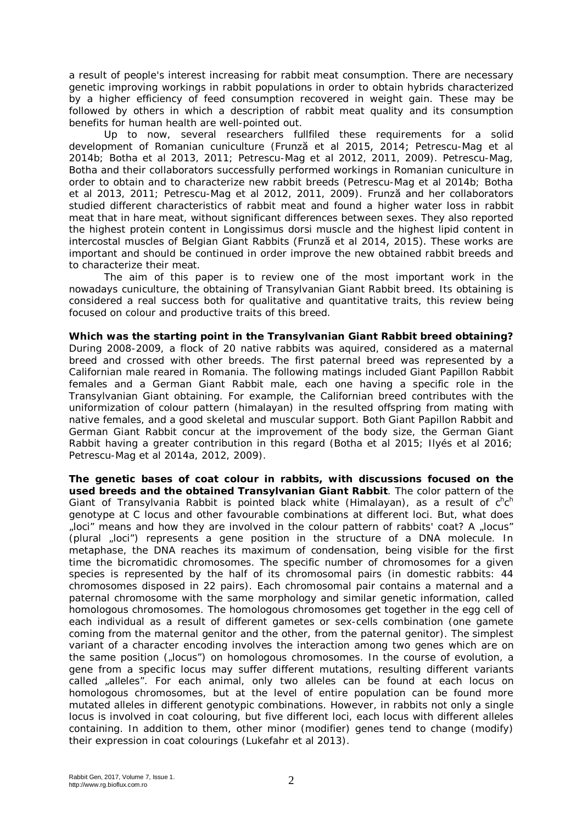a result of people's interest increasing for rabbit meat consumption. There are necessary genetic improving workings in rabbit populations in order to obtain hybrids characterized by a higher efficiency of feed consumption recovered in weight gain. These may be followed by others in which a description of rabbit meat quality and its consumption benefits for human health are well-pointed out.

Up to now, several researchers fullfiled these requirements for a solid development of Romanian cuniculture (Frunză et al 2015, 2014; Petrescu-Mag et al 2014b; Botha et al 2013, 2011; Petrescu-Mag et al 2012, 2011, 2009). Petrescu-Mag, Botha and their collaborators successfully performed workings in Romanian cuniculture in order to obtain and to characterize new rabbit breeds (Petrescu-Mag et al 2014b; Botha et al 2013, 2011; Petrescu-Mag et al 2012, 2011, 2009). Frunză and her collaborators studied different characteristics of rabbit meat and found a higher water loss in rabbit meat that in hare meat, without significant differences between sexes. They also reported the highest protein content in Longissimus dorsi muscle and the highest lipid content in intercostal muscles of Belgian Giant Rabbits (Frunză et al 2014, 2015). These works are important and should be continued in order improve the new obtained rabbit breeds and to characterize their meat.

The aim of this paper is to review one of the most important work in the nowadays cuniculture, the obtaining of Transylvanian Giant Rabbit breed. Its obtaining is considered a real success both for qualitative and quantitative traits, this review being focused on colour and productive traits of this breed.

**Which was the starting point in the Transylvanian Giant Rabbit breed obtaining?**  During 2008-2009, a flock of 20 native rabbits was aquired, considered as a maternal breed and crossed with other breeds. The first paternal breed was represented by a Californian male reared in Romania. The following matings included Giant Papillon Rabbit females and a German Giant Rabbit male, each one having a specific role in the Transylvanian Giant obtaining. For example, the Californian breed contributes with the uniformization of colour pattern (himalayan) in the resulted offspring from mating with native females, and a good skeletal and muscular support. Both Giant Papillon Rabbit and German Giant Rabbit concur at the improvement of the body size, the German Giant Rabbit having a greater contribution in this regard (Botha et al 2015; Ilyés et al 2016; Petrescu-Mag et al 2014a, 2012, 2009).

**The genetic bases of coat colour in rabbits, with discussions focused on the used breeds and the obtained Transylvanian Giant Rabbit**. The color pattern of the Giant of Transylvania Rabbit is pointed black white (Himalayan), as a result of c<sup>h</sup>c<sup>h</sup> genotype at C locus and other favourable combinations at different loci. But, what does "loci" means and how they are involved in the colour pattern of rabbits' coat? A "locus (plural "loci") represents a gene position in the structure of a DNA molecule. In metaphase, the DNA reaches its maximum of condensation, being visible for the first time the bicromatidic chromosomes. The specific number of chromosomes for a given species is represented by the half of its chromosomal pairs (in domestic rabbits: 44 chromosomes disposed in 22 pairs). Each chromosomal pair contains a maternal and a paternal chromosome with the same morphology and similar genetic information, called homologous chromosomes. The homologous chromosomes get together in the egg cell of each individual as a result of different gametes or sex-cells combination (one gamete coming from the maternal genitor and the other, from the paternal genitor). The simplest variant of a character encoding involves the interaction among two genes which are on the same position ("locus") on homologous chromosomes. In the course of evolution, a gene from a specific locus may suffer different mutations, resulting different variants called "alleles". For each animal, only two alleles can be found at each locus on homologous chromosomes, but at the level of entire population can be found more mutated alleles in different genotypic combinations. However, in rabbits not only a single locus is involved in coat colouring, but five different loci, each locus with different alleles containing. In addition to them, other minor (modifier) genes tend to change (modify) their expression in coat colourings (Lukefahr et al 2013).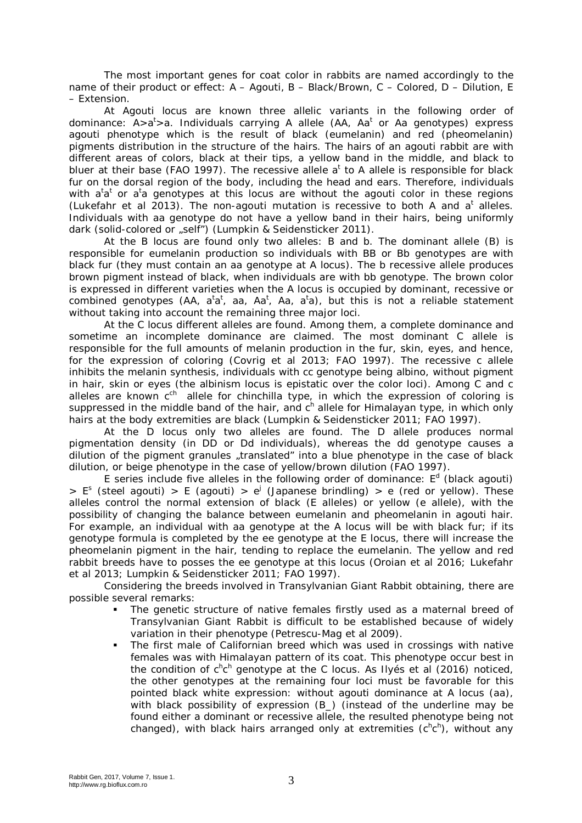The most important genes for coat color in rabbits are named accordingly to the name of their product or effect: A – Agouti, B – Black/Brown, C – Colored, D – Dilution, E – Extension.

At *Agouti locus* are known three allelic variants in the following order of dominance: *A>a<sup>t</sup>>a*. Individuals carrying *A* allele (*AA*, *Aa<sup>t</sup>* or *Aa* genotypes) express agouti phenotype which is the result of black (eumelanin) and red (pheomelanin) pigments distribution in the structure of the hairs. The hairs of an agouti rabbit are with different areas of colors, black at their tips, a yellow band in the middle, and black to bluer at their base (FAO 1997). The recessive allele *a t* to *A* allele is responsible for black fur on the dorsal region of the body, including the head and ears. Therefore, individuals with  $a^t a^t$  or  $a^t a$  genotypes at this locus are without the agouti color in these regions (Lukefahr et al 2013). The non-agouti mutation is recessive to both  $A$  and  $a<sup>t</sup>$  alleles. Individuals with *aa* genotype do not have a yellow band in their hairs, being uniformly dark (solid-colored or "self") (Lumpkin & Seidensticker 2011).

At the *B locus* are found only two alleles: *B* and *b.* The dominant allele *(B)* is responsible for eumelanin production so individuals with *BB* or *Bb* genotypes are with black fur (they must contain an *aa* genotype at *A locus*). The *b* recessive allele produces brown pigment instead of black, when individuals are with *bb* genotype. The brown color is expressed in different varieties when the A locus is occupied by dominant, recessive or combined genotypes *(AA, a<sup>t</sup>a<sup>t</sup>, aa, Aa<sup>t</sup>, Aa, a<sup>t</sup>a), but this is not a reliable statement* without taking into account the remaining three major loci.

At the *C locus* different alleles are found. Among them, a complete dominance and sometime an incomplete dominance are claimed. The most dominant *C* allele is responsible for the full amounts of melanin production in the fur, skin, eyes, and hence, for the expression of coloring (Covrig et al 2013; FAO 1997). The recessive *c* allele inhibits the melanin synthesis, individuals with *cc* genotype being albino, without pigment in hair, skin or eyes (the albinism locus is epistatic over the color loci). Among *C* and *c* alleles are known  $c^{ch}$  allele for chinchilla type, in which the expression of coloring is suppressed in the middle band of the hair, and  $c^h$  allele for Himalayan type, in which only hairs at the body extremities are black (Lumpkin & Seidensticker 2011; FAO 1997).

At the *D locus* only two alleles are found. The *D* allele produces normal pigmentation density (in *DD* or *Dd* individuals), whereas the *dd* genotype causes a dilution of the pigment granules , translated" into a blue phenotype in the case of black dilution, or beige phenotype in the case of yellow/brown dilution (FAO 1997).

*E* series include five alleles in the following order of dominance:  $E^d$  (black agouti)  $>$  *E*<sup> $\circ$ </sup> (steel agouti) > *E* (agouti) > *e*<sup>*i*</sup> (Japanese brindling) > *e* (red or yellow). These alleles control the normal extension of black (*E* alleles) or yellow (*e* allele), with the possibility of changing the balance between eumelanin and pheomelanin in agouti hair. For example, an individual with *aa* genotype at the *A* locus will be with black fur; if its genotype formula is completed by the *ee* genotype at the *E* locus, there will increase the pheomelanin pigment in the hair, tending to replace the eumelanin. The yellow and red rabbit breeds have to posses the *ee* genotype at this locus (Oroian et al 2016; Lukefahr et al 2013; Lumpkin & Seidensticker 2011; FAO 1997).

Considering the breeds involved in Transylvanian Giant Rabbit obtaining, there are possible several remarks:

- The genetic structure of native females firstly used as a maternal breed of Transylvanian Giant Rabbit is difficult to be established because of widely variation in their phenotype (Petrescu-Mag et al 2009).
- The first male of Californian breed which was used in crossings with native females was with Himalayan pattern of its coat. This phenotype occur best in the condition of  $c^h c^h$  genotype at the *C* locus. As Ilyés et al (2016) noticed, the other genotypes at the remaining four loci must be favorable for this pointed black white expression: without agouti dominance at *A* locus *(aa),* with black possibility of expression *(B\_)* (instead of the underline may be found either a dominant or recessive allele, the resulted phenotype being not changed)*,* with black hairs arranged only at extremities *(c<sup>h</sup> c h ),* without any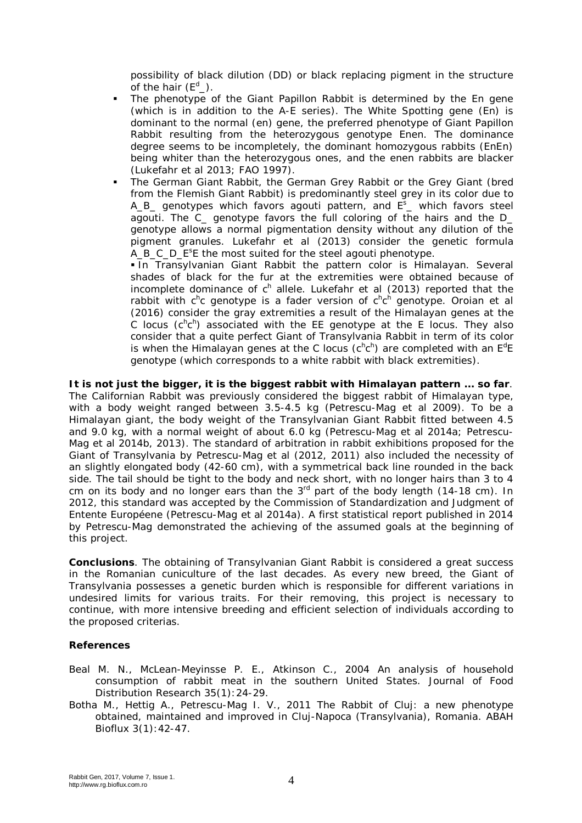possibility of black dilution *(DD)* or black replacing pigment in the structure of the hair  $(E^d$ <sub>)</sub>.

- The phenotype of the Giant Papillon Rabbit is determined by the *En* gene (which is in addition to the *A-E* series). The White Spotting gene *(En)* is dominant to the normal *(en)* gene, the preferred phenotype of Giant Papillon Rabbit resulting from the heterozygous genotype *Enen*. The dominance degree seems to be incompletely, the dominant homozygous rabbits *(EnEn)* being whiter than the heterozygous ones, and the *enen* rabbits are blacker (Lukefahr et al 2013; FAO 1997).
- The German Giant Rabbit, the German Grey Rabbit or the Grey Giant (bred from the Flemish Giant Rabbit) is predominantly steel grey in its color due to *A\_B\_* genotypes which favors agouti pattern, and *E <sup>s</sup>\_* which favors steel agouti. The *C\_* genotype favors the full coloring of the hairs and the *D\_* genotype allows a normal pigmentation density without any dilution of the pigment granules. Lukefahr et al (2013) consider the genetic formula *A\_B\_C\_D\_E<sup>s</sup>E* the most suited for the steel agouti phenotype.
	- **In Transylvanian Giant Rabbit the pattern color is Himalayan. Several** shades of black for the fur at the extremities were obtained because of incomplete dominance of c<sup>h</sup> allele. Lukefahr et al (2013) reported that the rabbit with  $c^h c$  genotype is a fader version of  $c^h c^h$  genotype. Oroian et al (2016) consider the gray extremities a result of the Himalayan genes at the *C* locus  $(c^h c^h)$  associated with the *EE* genotype at the *E* locus. They also consider that a quite perfect Giant of Transylvania Rabbit in term of its color is when the Himalayan genes at the *C* locus  $(c^h c^h)$  are completed with an  $E^d E$ genotype (which corresponds to a white rabbit with black extremities).

**It is not just the bigger, it is the biggest rabbit with Himalayan pattern ... so far**. The Californian Rabbit was previously considered the biggest rabbit of Himalayan type, with a body weight ranged between 3.5-4.5 kg (Petrescu-Mag et al 2009). To be a Himalayan giant, the body weight of the Transylvanian Giant Rabbit fitted between 4.5 and 9.0 kg, with a normal weight of about 6.0 kg (Petrescu-Mag et al 2014a; Petrescu-Mag et al 2014b, 2013). The standard of arbitration in rabbit exhibitions proposed for the Giant of Transylvania by Petrescu-Mag et al (2012, 2011) also included the necessity of an slightly elongated body (42-60 cm), with a symmetrical back line rounded in the back side. The tail should be tight to the body and neck short, with no longer hairs than 3 to 4 cm on its body and no longer ears than the  $3<sup>rd</sup>$  part of the body length (14-18 cm). In 2012, this standard was accepted by the Commission of Standardization and Judgment of Entente Européene (Petrescu-Mag et al 2014a). A first statistical report published in 2014 by Petrescu-Mag demonstrated the achieving of the assumed goals at the beginning of this project.

**Conclusions**. The obtaining of Transylvanian Giant Rabbit is considered a great success in the Romanian cuniculture of the last decades. As every new breed, the Giant of Transylvania possesses a genetic burden which is responsible for different variations in undesired limits for various traits. For their removing, this project is necessary to continue, with more intensive breeding and efficient selection of individuals according to the proposed criterias.

## **References**

- Beal M. N., McLean-Meyinsse P. E., Atkinson C., 2004 An analysis of household consumption of rabbit meat in the southern United States. Journal of Food Distribution Research 35(1):24-29.
- Botha M., Hettig A., Petrescu-Mag I. V., 2011 The Rabbit of Cluj: a new phenotype obtained, maintained and improved in Cluj-Napoca (Transylvania), Romania. ABAH Bioflux 3(1):42-47.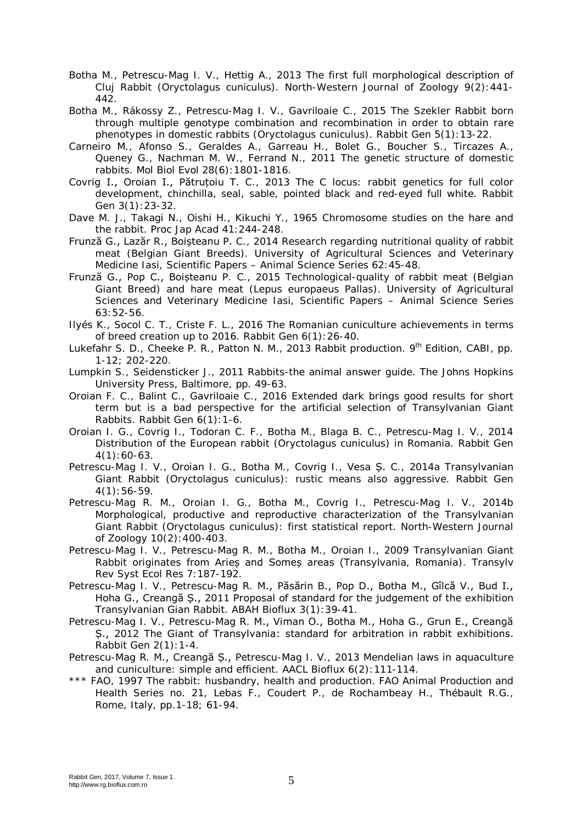- Botha M., Petrescu-Mag I. V., Hettig A., 2013 The first full morphological description of Cluj Rabbit (*Oryctolagus cuniculus*). North-Western Journal of Zoology 9(2):441- 442.
- Botha M., Rákossy Z., Petrescu-Mag I. V., Gavriloaie C., 2015 The Szekler Rabbit born through multiple genotype combination and recombination in order to obtain rare phenotypes in domestic rabbits (Oryctolagus cuniculus). Rabbit Gen 5(1):13-22.
- Carneiro M., Afonso S., Geraldes A., Garreau H., Bolet G., Boucher S., Tircazes A., Queney G., Nachman M. W., Ferrand N., 2011 The genetic structure of domestic rabbits. Mol Biol Evol 28(6):1801-1816.
- Covrig I., Oroian I., Pătruțoiu T. C., 2013 The C locus: rabbit genetics for full color development, chinchilla, seal, sable, pointed black and red-eyed full white. Rabbit Gen 3(1):23-32.
- Dave M. J., Takagi N., Oishi H., Kikuchi Y., 1965 Chromosome studies on the hare and the rabbit. Proc Jap Acad 41:244-248.
- Frunză G., Lazăr R., Boișteanu P. C., 2014 Research regarding nutritional quality of rabbit meat (Belgian Giant Breeds). University of Agricultural Sciences and Veterinary Medicine Iasi, Scientific Papers – Animal Science Series 62:45-48.
- Frunză G., Pop C., Boișteanu P. C., 2015 Technological-quality of rabbit meat (Belgian Giant Breed) and hare meat (*Lepus europaeus* Pallas). University of Agricultural Sciences and Veterinary Medicine Iasi, Scientific Papers – Animal Science Series 63:52-56.
- Ilyés K., Socol C. T., Criste F. L., 2016 The Romanian cuniculture achievements in terms of breed creation up to 2016. Rabbit Gen 6(1):26-40.
- Lukefahr S. D., Cheeke P. R., Patton N. M., 2013 Rabbit production. 9<sup>th</sup> Edition, CABI. pp. 1-12; 202-220.
- Lumpkin S., Seidensticker J., 2011 Rabbits-the animal answer guide. The Johns Hopkins University Press, Baltimore, pp. 49-63.
- Oroian F. C., Balint C., Gavriloaie C., 2016 Extended dark brings good results for short term but is a bad perspective for the artificial selection of Transylvanian Giant Rabbits. Rabbit Gen 6(1):1-6.
- Oroian I. G., Covrig I., Todoran C. F., Botha M., Blaga B. C., Petrescu-Mag I. V., 2014 Distribution of the European rabbit (*Oryctolagus cuniculus*) in Romania. Rabbit Gen 4(1):60-63.
- Petrescu-Mag I. V., Oroian I. G., Botha M., Covrig I., Vesa Ș. C., 2014a Transylvanian Giant Rabbit (*Oryctolagus cuniculus*): rustic means also aggressive. Rabbit Gen 4(1):56-59.
- Petrescu-Mag R. M., Oroian I. G., Botha M., Covrig I., Petrescu-Mag I. V., 2014b Morphological, productive and reproductive characterization of the Transylvanian Giant Rabbit (*Oryctolagus cuniculus*): first statistical report. North-Western Journal of Zoology 10(2):400-403.
- Petrescu-Mag I. V., Petrescu-Mag R. M., Botha M., Oroian I., 2009 Transylvanian Giant Rabbit originates from Arieș and Someș areas (Transylvania, Romania). Transylv Rev Syst Ecol Res 7:187-192.
- Petrescu-Mag I. V., Petrescu-Mag R. M., Păsărin B., Pop D., Botha M., Gîlcă V., Bud I., Hoha G., Creangă Ș., 2011 Proposal of standard for the judgement of the exhibition Transylvanian Gian Rabbit. ABAH Bioflux 3(1):39-41.
- Petrescu-Mag I. V., Petrescu-Mag R. M., Viman O., Botha M., Hoha G., Grun E., Creangă Ș., 2012 The Giant of Transylvania: standard for arbitration in rabbit exhibitions. Rabbit Gen 2(1):1-4.
- Petrescu-Mag R. M., Creangă Ș., Petrescu-Mag I. V., 2013 Mendelian laws in aquaculture and cuniculture: simple and efficient. AACL Bioflux 6(2):111-114.
- \*\*\* FAO, 1997 The rabbit: husbandry, health and production. FAO Animal Production and Health Series no. 21, Lebas F., Coudert P., de Rochambeay H., Thébault R.G., Rome, Italy, pp.1-18; 61-94.